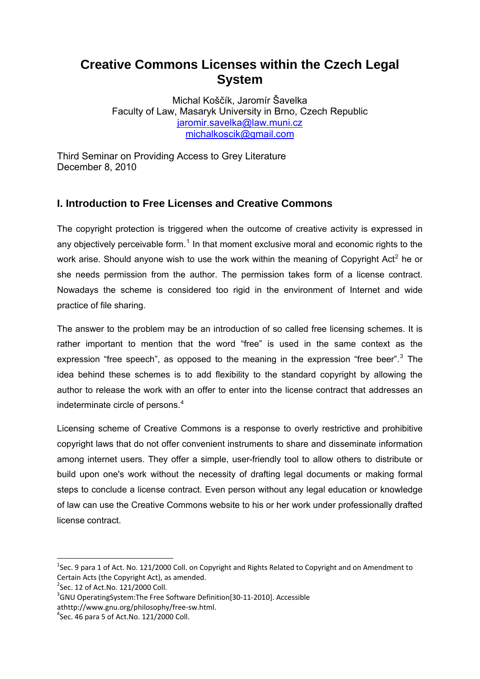# **Creative Commons Licenses within the Czech Legal System**

Michal Koščík, Jaromír Šavelka Faculty of Law, Masaryk University in Brno, Czech Republic jaromir.savelka@law.muni.cz michalkoscik@gmail.com

Third Seminar on Providing Access to Grey Literature December 8, 2010

# **I. Introduction to Free Licenses and Creative Commons**

The copyright protection is triggered when the outcome of creative activity is expressed in any objectively perceivable form.<sup>1</sup> In that moment exclusive moral and economic rights to the work arise. Should anyone wish to use the work within the meaning of Copyright Act<sup>2</sup> he or she needs permission from the author. The permission takes form of a license contract. Nowadays the scheme is considered too rigid in the environment of Internet and wide practice of file sharing.

The answer to the problem may be an introduction of so called free licensing schemes. It is rather important to mention that the word "free" is used in the same context as the expression "free speech", as opposed to the meaning in the expression "free beer".<sup>3</sup> The idea behind these schemes is to add flexibility to the standard copyright by allowing the author to release the work with an offer to enter into the license contract that addresses an indeterminate circle of persons. $4$ 

Licensing scheme of Creative Commons is a response to overly restrictive and prohibitive copyright laws that do not offer convenient instruments to share and disseminate information among internet users. They offer a simple, user-friendly tool to allow others to distribute or build upon one's work without the necessity of drafting legal documents or making formal steps to conclude a license contract. Even person without any legal education or knowledge of law can use the Creative Commons website to his or her work under professionally drafted license contract.

<sup>&</sup>lt;sup>1</sup>Sec. 9 para 1 of Act. No. 121/2000 Coll. on Copyright and Rights Related to Copyright and on Amendment to Certain Acts (the Copyright Act), as amended.

 $2$ Sec. 12 of Act.No. 121/2000 Coll.

<sup>&</sup>lt;sup>3</sup>GNU OperatingSystem:The Free Software Definition[30-11-2010]. Accessible

athttp://www.gnu.org/philosophy/free‐sw.html. <sup>4</sup>

 $4$ Sec. 46 para 5 of Act. No. 121/2000 Coll.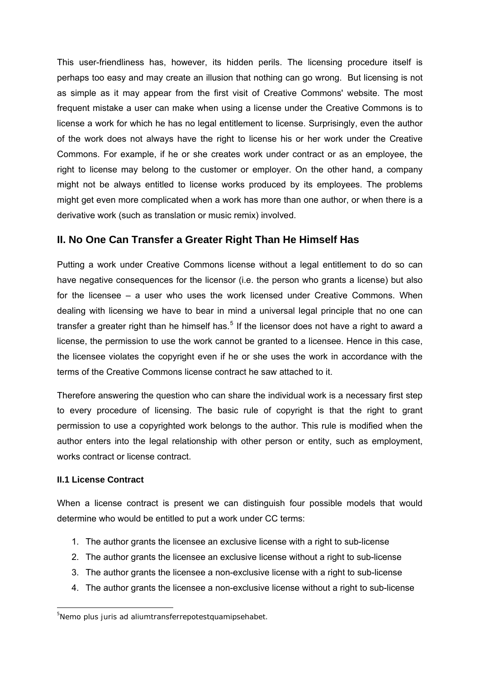This user-friendliness has, however, its hidden perils. The licensing procedure itself is perhaps too easy and may create an illusion that nothing can go wrong. But licensing is not as simple as it may appear from the first visit of Creative Commons' website. The most frequent mistake a user can make when using a license under the Creative Commons is to license a work for which he has no legal entitlement to license. Surprisingly, even the author of the work does not always have the right to license his or her work under the Creative Commons. For example, if he or she creates work under contract or as an employee, the right to license may belong to the customer or employer. On the other hand, a company might not be always entitled to license works produced by its employees. The problems might get even more complicated when a work has more than one author, or when there is a derivative work (such as translation or music remix) involved.

## **II. No One Can Transfer a Greater Right Than He Himself Has**

Putting a work under Creative Commons license without a legal entitlement to do so can have negative consequences for the licensor (i.e. the person who grants a license) but also for the licensee – a user who uses the work licensed under Creative Commons. When dealing with licensing we have to bear in mind a universal legal principle that no one can transfer a greater right than he himself has.<sup>5</sup> If the licensor does not have a right to award a license, the permission to use the work cannot be granted to a licensee. Hence in this case, the licensee violates the copyright even if he or she uses the work in accordance with the terms of the Creative Commons license contract he saw attached to it.

Therefore answering the question who can share the individual work is a necessary first step to every procedure of licensing. The basic rule of copyright is that the right to grant permission to use a copyrighted work belongs to the author. This rule is modified when the author enters into the legal relationship with other person or entity, such as employment, works contract or license contract.

### **II.1 License Contract**

When a license contract is present we can distinguish four possible models that would determine who would be entitled to put a work under CC terms:

- 1. The author grants the licensee an exclusive license with a right to sub-license
- 2. The author grants the licensee an exclusive license without a right to sub-license
- 3. The author grants the licensee a non-exclusive license with a right to sub-license
- 4. The author grants the licensee a non-exclusive license without a right to sub-license

 5 *Nemo plus juris ad aliumtransferrepotestquamipsehabet.*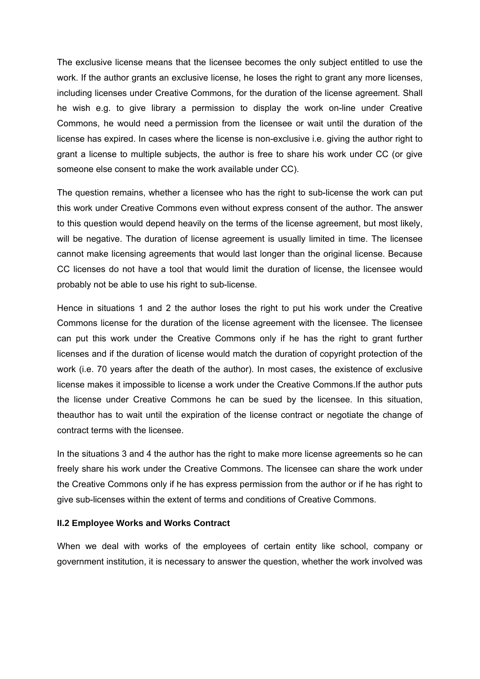The exclusive license means that the licensee becomes the only subject entitled to use the work. If the author grants an exclusive license, he loses the right to grant any more licenses, including licenses under Creative Commons, for the duration of the license agreement. Shall he wish e.g. to give library a permission to display the work on-line under Creative Commons, he would need a permission from the licensee or wait until the duration of the license has expired. In cases where the license is non-exclusive i.e. giving the author right to grant a license to multiple subjects, the author is free to share his work under CC (or give someone else consent to make the work available under CC).

The question remains, whether a licensee who has the right to sub-license the work can put this work under Creative Commons even without express consent of the author. The answer to this question would depend heavily on the terms of the license agreement, but most likely, will be negative. The duration of license agreement is usually limited in time. The licensee cannot make licensing agreements that would last longer than the original license. Because CC licenses do not have a tool that would limit the duration of license, the licensee would probably not be able to use his right to sub-license.

Hence in situations 1 and 2 the author loses the right to put his work under the Creative Commons license for the duration of the license agreement with the licensee. The licensee can put this work under the Creative Commons only if he has the right to grant further licenses and if the duration of license would match the duration of copyright protection of the work (i.e. 70 years after the death of the author). In most cases, the existence of exclusive license makes it impossible to license a work under the Creative Commons.If the author puts the license under Creative Commons he can be sued by the licensee. In this situation, theauthor has to wait until the expiration of the license contract or negotiate the change of contract terms with the licensee.

In the situations 3 and 4 the author has the right to make more license agreements so he can freely share his work under the Creative Commons. The licensee can share the work under the Creative Commons only if he has express permission from the author or if he has right to give sub-licenses within the extent of terms and conditions of Creative Commons.

#### **II.2 Employee Works and Works Contract**

When we deal with works of the employees of certain entity like school, company or government institution, it is necessary to answer the question, whether the work involved was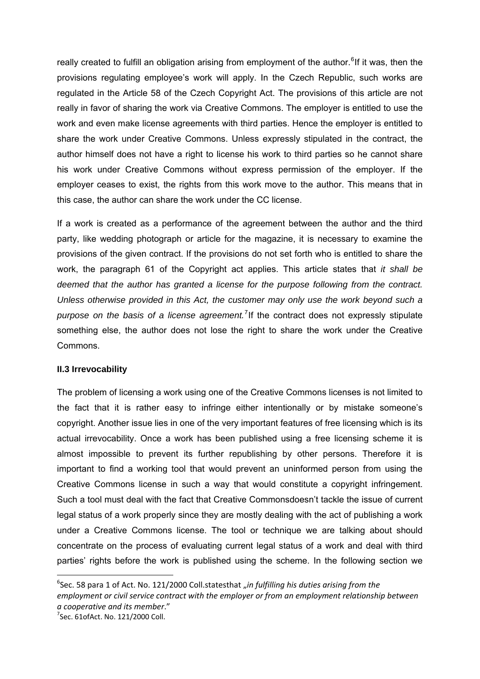really created to fulfill an obligation arising from employment of the author.<sup>6</sup> If it was, then the provisions regulating employee's work will apply. In the Czech Republic, such works are regulated in the Article 58 of the Czech Copyright Act. The provisions of this article are not really in favor of sharing the work via Creative Commons. The employer is entitled to use the work and even make license agreements with third parties. Hence the employer is entitled to share the work under Creative Commons. Unless expressly stipulated in the contract, the author himself does not have a right to license his work to third parties so he cannot share his work under Creative Commons without express permission of the employer. If the employer ceases to exist, the rights from this work move to the author. This means that in this case, the author can share the work under the CC license.

If a work is created as a performance of the agreement between the author and the third party, like wedding photograph or article for the magazine, it is necessary to examine the provisions of the given contract. If the provisions do not set forth who is entitled to share the work, the paragraph 61 of the Copyright act applies. This article states that *it shall be deemed that the author has granted a license for the purpose following from the contract. Unless otherwise provided in this Act, the customer may only use the work beyond such a*  purpose on the basis of a license agreement.<sup>7</sup> If the contract does not expressly stipulate something else, the author does not lose the right to share the work under the Creative Commons.

#### **II.3 Irrevocability**

The problem of licensing a work using one of the Creative Commons licenses is not limited to the fact that it is rather easy to infringe either intentionally or by mistake someone's copyright. Another issue lies in one of the very important features of free licensing which is its actual irrevocability. Once a work has been published using a free licensing scheme it is almost impossible to prevent its further republishing by other persons. Therefore it is important to find a working tool that would prevent an uninformed person from using the Creative Commons license in such a way that would constitute a copyright infringement. Such a tool must deal with the fact that Creative Commonsdoesn't tackle the issue of current legal status of a work properly since they are mostly dealing with the act of publishing a work under a Creative Commons license. The tool or technique we are talking about should concentrate on the process of evaluating current legal status of a work and deal with third parties' rights before the work is published using the scheme. In the following section we

<sup>&</sup>lt;sup>6</sup>Sec. 58 para 1 of Act. No. 121/2000 Coll.statesthat "in fulfilling his duties arising from the *employment or civil service contract with the employer or from an employment relationship between <sup>a</sup> cooperative and its member*." <sup>7</sup>

 $7$ Sec. 61ofAct. No. 121/2000 Coll.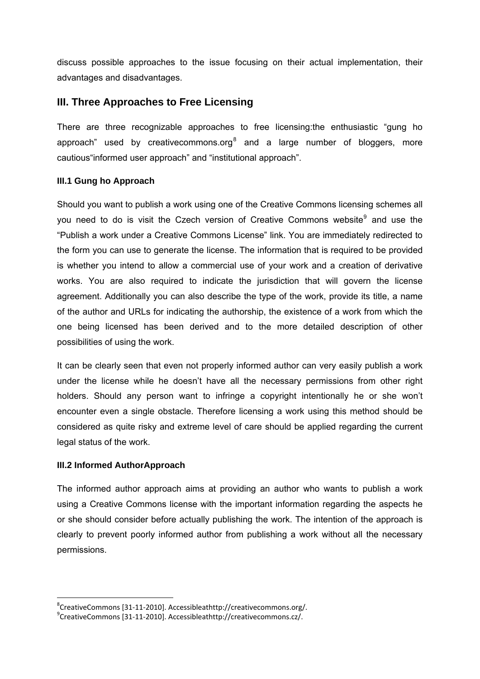discuss possible approaches to the issue focusing on their actual implementation, their advantages and disadvantages.

## **III. Three Approaches to Free Licensing**

There are three recognizable approaches to free licensing:the enthusiastic "gung ho approach" used by creativecommons.org $8$  and a large number of bloggers, more cautious"informed user approach" and "institutional approach".

### **III.1 Gung ho Approach**

Should you want to publish a work using one of the Creative Commons licensing schemes all you need to do is visit the Czech version of Creative Commons website<sup>9</sup> and use the "Publish a work under a Creative Commons License" link. You are immediately redirected to the form you can use to generate the license. The information that is required to be provided is whether you intend to allow a commercial use of your work and a creation of derivative works. You are also required to indicate the jurisdiction that will govern the license agreement. Additionally you can also describe the type of the work, provide its title, a name of the author and URLs for indicating the authorship, the existence of a work from which the one being licensed has been derived and to the more detailed description of other possibilities of using the work.

It can be clearly seen that even not properly informed author can very easily publish a work under the license while he doesn't have all the necessary permissions from other right holders. Should any person want to infringe a copyright intentionally he or she won't encounter even a single obstacle. Therefore licensing a work using this method should be considered as quite risky and extreme level of care should be applied regarding the current legal status of the work.

### **III.2 Informed AuthorApproach**

The informed author approach aims at providing an author who wants to publish a work using a Creative Commons license with the important information regarding the aspects he or she should consider before actually publishing the work. The intention of the approach is clearly to prevent poorly informed author from publishing a work without all the necessary permissions.

<sup>&</sup>lt;sup>8</sup>CreativeCommons [31-11-2010]. Accessibleathttp://creativecommons.org/.<br><sup>9</sup>CreativeCommons [21.11.2010]. Accessibleathttp://creativecommons.cz/

<sup>&</sup>lt;sup>9</sup>CreativeCommons [31-11-2010]. Accessibleathttp://creativecommons.cz/.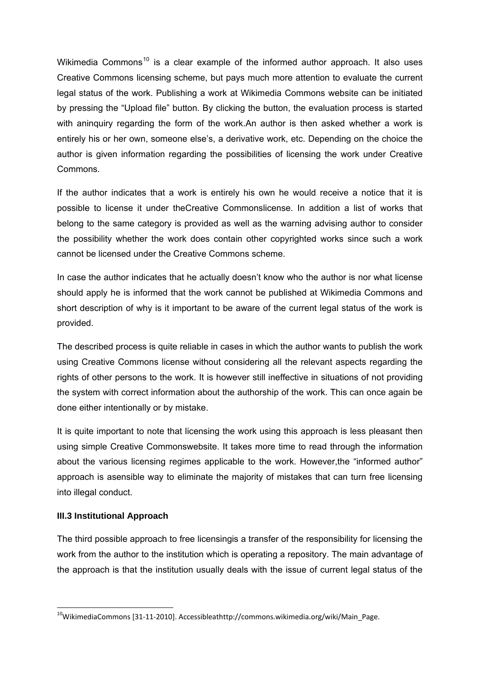Wikimedia Commons<sup>10</sup> is a clear example of the informed author approach. It also uses Creative Commons licensing scheme, but pays much more attention to evaluate the current legal status of the work. Publishing a work at Wikimedia Commons website can be initiated by pressing the "Upload file" button. By clicking the button, the evaluation process is started with aninquiry regarding the form of the work.An author is then asked whether a work is entirely his or her own, someone else's, a derivative work, etc. Depending on the choice the author is given information regarding the possibilities of licensing the work under Creative Commons.

If the author indicates that a work is entirely his own he would receive a notice that it is possible to license it under theCreative Commonslicense. In addition a list of works that belong to the same category is provided as well as the warning advising author to consider the possibility whether the work does contain other copyrighted works since such a work cannot be licensed under the Creative Commons scheme.

In case the author indicates that he actually doesn't know who the author is nor what license should apply he is informed that the work cannot be published at Wikimedia Commons and short description of why is it important to be aware of the current legal status of the work is provided.

The described process is quite reliable in cases in which the author wants to publish the work using Creative Commons license without considering all the relevant aspects regarding the rights of other persons to the work. It is however still ineffective in situations of not providing the system with correct information about the authorship of the work. This can once again be done either intentionally or by mistake.

It is quite important to note that licensing the work using this approach is less pleasant then using simple Creative Commonswebsite. It takes more time to read through the information about the various licensing regimes applicable to the work. However,the "informed author" approach is asensible way to eliminate the majority of mistakes that can turn free licensing into illegal conduct.

#### **III.3 Institutional Approach**

The third possible approach to free licensingis a transfer of the responsibility for licensing the work from the author to the institution which is operating a repository. The main advantage of the approach is that the institution usually deals with the issue of current legal status of the

<sup>&</sup>lt;sup>10</sup>WikimediaCommons [31-11-2010]. Accessibleathttp://commons.wikimedia.org/wiki/Main\_Page.